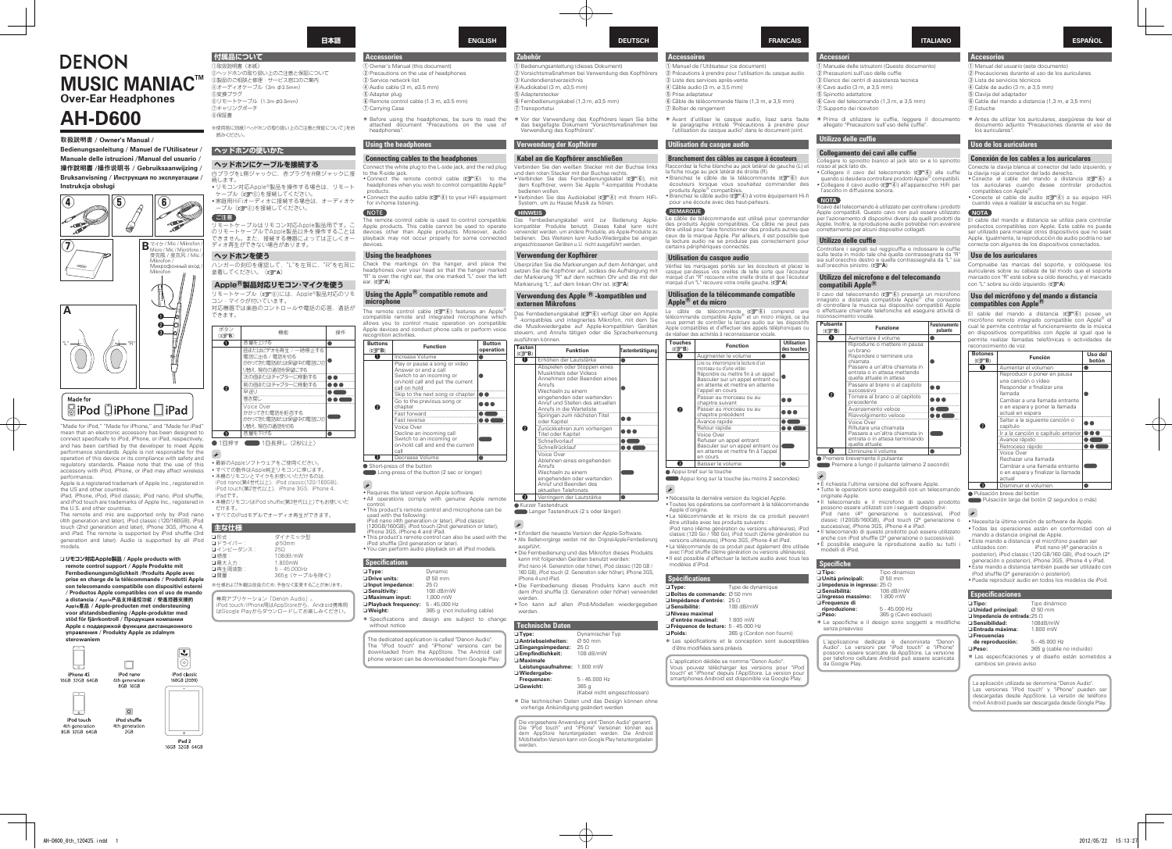| DENON                                              |
|----------------------------------------------------|
| <b>MUSIC MANIAC™</b><br><b>Over-Ear Headphones</b> |

# **AH-D600**

#### 取扱説明書 / Owner's Manual

**Accessori**

**NOTA**

**Accessoires** (1) Manuel de l'Utilisateur (ce document) (2) Précautions à prendre pour l'utilisation du casque audio 3) Liste des services après-vente  $\overline{a}$  Câble audio  $\overline{a}$  m  $\overline{a}$  3.5 mm) **5** Prise adaptateur  $6$  Câble de télécommande filaire (1,3 m, ø 3,5 mm) (7) Boîtier de rangement

\* Avant d'utiliser le casque audio, lisez sans faute<br>le paragraphe intitulé "Précautions à prendre pour<br>l'utilisation du casque audio" dans le document joint.

# **kilisation du casque audio**

# **Branchement des câbles au casque à écouteurs**

Raccordez la fiche blanche au jack latéral de gauche (L) et la fiche rouge au jack latéral de droite (R). a nono roago da jaon latorar do droito (m).<br>• Branchez IIe câble de la télécommande (12 6) aux écouteurs lorsque vous souhaitez commander des

produits Apple® compatibles.<br>• Branchez le câble audio (re 4) à votre équipement Hi-fi pour une écoute avec des haut-parleurs

**Pulsante**

**v** Diminu

- 3) Elenco dei centri di assistenza tecnica  $\overline{a}$  Cavo audio  $(3 \text{ m} \times 35 \text{ mm})$
- 5 Spinotto adattatore
- $\overline{6}$  Cavo del telecomando (1,3 m, ø 3,5 mm)
- 7) Supporto dei ricevitori

\* Prima di utilizzare le cuffie, leggere il documento allegato "Precauzioni sull'uso delle cuffie".

#### **Utilizzo delle cuffie**

#### **Collegamento dei cavi alle cuffie**

Collegare lo spinotto bianco al jack lato sx e lo spinotto<br>rosso al jack lato dx.<br>• Collegare il cavo del telecomando (口で) alle cuffie

quando si desidera controllare prodotti Apple® compatibili.<br>• Collegare il cavo audio (real) all'apparecchio HiFi per l'ascolto in diffusione sonora.

prodotti i controllare i nodotti i controllare i prodotti Apple compatibili. Questo cavo non può essere utilizzato<br>per l'azionamento di dispositivi diversi da quelli prodotti da<br>Apple. Inoltre, la riproduzione audio potrebbe non avvenire<br>correttamente per alcuni dispositivi colle

#### **Utilizzo delle cuffie**

Controllare i segnali sul reggicuffia e indossare le cuffie<br>sulla testa in modo tale che quella contrassegnata da "R"<br>sia sull'orecchio sinistro. (**@TA**)<br>sull'orecchio sinistro. (**@TA**)

#### **Utilizzo del microfono e del telecomando compatibili** Apple<sup><sup>®</sup></sup>

Il cavo del telecomando ( $\mathcal{Q}^{\infty}(\mathcal{Q})$ ) presenta un microfono<br>integrato a distanza compatibile Apple® che consente<br>di controllare la musica sui dispositivi compatibili Apple di attività di attività e di attività di eseguire attività di noscimento vocale

| ulsante<br>$(\sqrt{27}B)$ | <b>Funzione</b>                                                                                                                                                                   | Funzionamento<br>pulsante |
|---------------------------|-----------------------------------------------------------------------------------------------------------------------------------------------------------------------------------|---------------------------|
| O                         | Aumentare il volume                                                                                                                                                               |                           |
|                           | Riprodurre o mettere in pausa<br>un brano<br>Rispondere o terminare una<br>chiamata<br>Passare a un'altra chiamata in<br>entrata o in attesa mettendo<br>quella attuale in attesa |                           |
|                           | Passare al brano o al capitolo<br>successivo                                                                                                                                      |                           |
| 2                         | Tornare al brano o al capitolo<br>precedente                                                                                                                                      |                           |
|                           | Avanzamento veloce                                                                                                                                                                |                           |
|                           | Riavvolgimento veloce                                                                                                                                                             |                           |
|                           | Voice Over<br>Rifiutare una chiamata<br>Passare a un'altra chiamata in<br>entrata o in attesa terminando<br>quella attuale                                                        |                           |
| 3                         | Diminuire il volume                                                                                                                                                               |                           |
|                           |                                                                                                                                                                                   |                           |

**•** Premere brevemente il pulsante

Premere a lungo il pulsante (almeno 2 secondi)

### .<br>• È richiesta l'ultima versione del software Apple.

• Tutte le operazioni sono eseguibili con un telecomando originale Apple.<br>• Il telecomando e il microfono di questo prodotto

possono essere utilizzati con i seguenti dispositivi: iPod nano (4<sup>a</sup> generazione o successiva), iPod<br>classic (120GB/160GB), iPod touch (2<sup>a</sup> generazione o

ciassic (120GB/100GB), iPod touch (2 g<br>successiva), iPhone 3GS, iPhone 4 e iPad.

• Il telecomando di questo prodotto può essere utilizzato<br>• anche con iPod shuffle (3ª generazione o successiva).<br>• È possibile eseguire la riproduzione audio su tutti i

Le câble de télécommande ( $\chi$  $\widehat{C}$ ) comprend une télécommande compatible Apple® et un micro intégré, ce qui<br>vous permet de contrôler la lecture audio sur les dispositifs<br>Apple compatibles et d'effectuer des appels télé de réaliser des activités à reconnaissance vocale. **Touches**

| $\Box$ Tipo:                                 | Tipo dinamico |
|----------------------------------------------|---------------|
| □ Unità principali:                          | $0.50$ mm     |
| $\square$ Impedenza in ingresso: 25 $\Omega$ |               |
| □ Sensibilità:                               | 108 dB/mW     |
| □ Ingresso massimo:                          | 1.800 mW      |
| $\Box$ Example at $\Box$                     |               |

365 a (Cavo escluso)

L'applicazione dedicata è denominata "Denon<br>Audio". Le versioni per "iPod touch" e "iPhone"<br>possono essere scaricate da AppStore. La versione<br>per telefono cellulare Android può essere scaricata

#### **ITALIANO**

(f) Manuale delle istruzioni (Questo documento)

(2) Precauzioni sull'uso delle cuffie

.products • Connect the audio cable ( $\mathbb{Z}(\mathbb{F}^d)$ ) to your HiFi equipment for in-home listening. NOTE  $\overline{\text{the remote control cable}}$  is used to control compatible Apple products. This cable cannot be used to operate<br>devices other than Apple products. Moreover, audio playback may not occur properly for some connected devices. **Using the headphones** Check the markings on the hanger, and place the headphones over your head so that the hanger marked "R" is over the right ear, the one marked "L" over the left ear. ( $\triangledown$ **A**)

#### **Using the Apple<sup>®</sup> compatible remote and microphone**

The remote control cable ( $\mathbb{Z}$  ( $\widehat{C}$ ) features an Apple compatible remote and integrated microphone which<br>allows you to control music operation on compatible Apple devices and conduct phone calls or perform voice recognition activities.

**REMARQUE**

Vérifiez les marquages portés sur les écouteurs et placez le<br>casque par-dessus vos oreilles de telle sorte que l'écouteur marqué d'un "B" recouvre votre oreille droite et que l'écouteu (value d'un "L" recouvre votre oreille gauche. (**une A)** 

#### **Utilisation de la télécommande compatible** Apple<sup> $\bigcirc$ </sup> et du micro

。<br>③製品のご相談と修理・サービス窓口のご案内  $(4)$ オーディオケーブル (3m  $\phi$ 3.5mm) 変換プラグ⑤ ®リモートケーブル (1.3m φ3.5mm) キャリングポーチ⑦ 保証書⑧

※使用前に別紙「ヘッドホンの取り扱い上のご注意と保証について」をお 。読みください

リモートケーブル (rg )には、Apple®製品対応のリモ *。*<br>コン・マイクが付いています。 対応機器では楽曲のコントロールや電話の応答、通話が 。できます

| ouches<br>$(\mathbb{C}\widehat{T}^{\mathsf{B}})$ | <b>Fonction</b>                                                                                                                                                                               | <b>Utilisation</b><br>des touches |
|--------------------------------------------------|-----------------------------------------------------------------------------------------------------------------------------------------------------------------------------------------------|-----------------------------------|
| O                                                | Augmenter le volume                                                                                                                                                                           |                                   |
|                                                  | Lire ou interrompre la lecture d'un<br>morceau ou d'une vidéo<br>Répondre ou mettre fin à un appel<br>Basculer sur un appel entrant ou<br>en attente et mettre en attente<br>l'appel en cours |                                   |
|                                                  | Passer au morceau ou au<br>chapitre suivant                                                                                                                                                   |                                   |
| 2                                                | Passer au morceau ou au<br>chapitre précédent                                                                                                                                                 |                                   |
|                                                  | Avance rapide                                                                                                                                                                                 |                                   |
|                                                  | Retour rapide                                                                                                                                                                                 |                                   |
|                                                  | Voice Over<br>Refuser un appel entrant<br>Basculer sur un appel entrant ou<br>en attente et mettre fin à l'appel<br>en cours                                                                  |                                   |
| 3                                                | Baisser le volume                                                                                                                                                                             |                                   |

#### ● Appui bref sur la touche Appui long sur la touche (au moins 2 secondes)  $\overline{\mathcal{L}}$

· Nécessite la dernière version du logiciel Apple • Toutes les opérations se conforment à la télécommande<br>• Apple d'origine.

- La télécommande et le micro de ce produit peuvent être utilisés avec les produits suivants :<br>iPod nano (4ème génération ou versions ultérieures), iPod<br>classic (120 Go / 160 Go), iPod touch (2ème génération ou
- modelli di iPod versions ultérieures), iPhone 3GS, iPhone 4 et iPad.<br>• La télécommande de ce produit peut également être utilisée
- avec l'iPod shuffle (3ème génération ou versions ultérieures) les tous avec audio avec tous les tous audio avec tous les modèles d'iPod

# **Spécifications**

- **de Type:** Type de dynamique **Boîtes de commande:** Ø 50 mm **⊒ Impédance d'entrée: 25 Ω<br>⊒ Sensibilité: 108 dB/mW** ■ ....peaa...co<br>□ Sensibilité : *<u>I</del>* Niveau maximal</u> **d'entrée maximal d'antrée d'antique de la maximal de la maximal de la maximal de la maximal de la maximal de l**  $\Box$  Fréquence de lecture: 5 - 45 000 Hz □ **Poids:** 365 **q** (Cordon non fourni)
- \* Les spécifications et la conception sont susceptibles présences sans préavis

L'annlication dédiée se nomme "Denon Audio" Vous pouvez télécharger les versions pour "iPod<br>touch" et "iPhone" depuis l'AppStore. La version pour<br>smartphones Android est disponible via Google Play.  $\Box$  Ingresso massim  $\Box$  Frequenze di **His 45.000 Hz<br>
France different different different different different different different different different different different different different different different different different different different differen** \* Le specifiche e il design sono soggetti a modifiche senza preavviso

**Specifiche** dinamico Tipo **:Tipo** n  $\Box$  Unità principali

da Google Play.

Bedienungsanleitung / Manuel de l'Utilisateur / **Manuale delle istruzioni / Manual del usuario / / Gebruiksaanwijzing /** 操作说明书**/** 操作說明書 **Bruksanvisning / Инструкция** по эксплуатации / **obsługi Instrukcja**

"Made for iPod," "Made for iPhone," and "Made for iPad" mean that an electronic accessory has been designed to connect specifically to iPod, iPhone, or iPad, respectively,<br>and has been certified by the developer to meet Apple performance standards. Apple is not responsible for the<br>operation of this device or its compliance with safety and regulatory standards. Please note that the use of this accessory with iPod, iPhone, or iPad may affect wireless .performance

performance.<br>Apple is a registered trademark of Apple Inc., registered in the US and other countries.

iPad, iPhone, iPod, iPod classic, iPod nano, iPod shuffle, and iPod touch are trademarks of Apple Inc., registered in the U.S. and other countries

The remote and mic are supported only by iPod nano (4th generation and later), iPod classic (120/160GB), iPod touch (2nd generation and later), iPhone 3GS, iPhone 4,<br>and iPad. The remote is supported by iPod shuffle (3rd generation and later). Audio is supported by all iPod models.

**□ リモコン対応Apple製品 / Apple products with** remote control support / Apple Produkte mit<br>Fernbedienungsmöglichkeit /Produits Apple avec prise en charge de la télécommande / Prodotti Apple **con telecomando compatibile con dispositivi esterni** / Productos Apple compatibles con el uso de mando a distancia / **Apple产品支**持遥控功能 / 受遙控器支援的 **Apple產品 / Apple-producten met ondersteuning voor afstandsbediening /Apple-produkter med компания и продукция компании Аpple с поддержкой функции дистанцион управления** / Produkty Apple ze zdalnym



16GB 32GB 64GB

# **FRANCAIS**

**Accessories**

 $(5)$ Adapter plug

(7) Carrying Case

headphones'

to the R-side jack.

*Using the headphones* 

**B** Service network lis  $\overline{a}$  Audio cable  $(3 \text{ m } a3.5 \text{ mm})$ 

1) Owner's Manual (this document) (2) Precautions on the use of headphones

 $\overline{\textcircled{\textit{R}}}$  Pemote control cable (1.3 m, ø3.5 mm)

**Connecting cables to the headphones** Connect the white plug to the L-side jack, and the red plug

• Connect the remote control cable ( $\mathbb{Z}(\widehat{\mathbb{F}}(\widehat{\mathbb{G}}))$  to the headphones when you wish to control compatible Apple®

- **Zubehör**  $\widehat{\text{D}}$ Bedienungsanleitung (dieses Dokument) (2) Vorsichtsmaßnahmen bei Verwendung des Kopfhörers 3 Kundendienstverzeichnis  $(4)$ Audiokabel  $(3 \text{ m } 835 \text{ mm})$ **5**) Adapterstecker  $\widehat{\mathbb{G}}$  Fernbedienungskabel (1,3 m, ø3,5 mm) Transportetui u
- \* Before using the headphones, be sure to read the attached document "Precautions on the use of \* Vor der Verwendung des Kopfhörers lesen Sie bitte<br>das beigefügte Dokument "Vorsichtsmaßnahmen bei<br>Verwendung des Kopfhörers".

#### **Verwendung der Kopfhörer**

### **Kabel an die Kopfhörer anschließen**

- Verbinden Sie den weißen Stecker mit der Buchse links und den roten Stecker mit der Buchse rechts • Verbinden Sie das Fernbedienungskabel ( $\mathbb{CP}(\widehat{\mathbb{B}})$ , mit dem Kopfhörer, wenn Sie Apple ®-kompatible Produkte .wollen bedienen
- Verbinden Sie das Audiokabel ( $\mathbb{Z}$ ) mit Ihrem HiFi-<br>System, um zu Hause Musik zu hören. **HINWEIS**
- Das Fernbedienungskabel wird zur Bedienung Apple-<br>kompatibler Produkte benutzt. Dieses Kabel kann nicht verwendet werden, um andere Produkte, als Apple-Produkte zu bedienen. Des Weiteren kann Audio-Wiedergabe bei einigen<br>angeschlossenen Geräten u.U. nicht ausgeführt werden.

#### Verwendung der Kopfhörer

Uberprüfen Sie die Markierungen auf dem Anhänger, und<br>setzen Sie die Kopfhörer auf, sodass die Aufhängung mit der Markierung "B" auf dem rechten Ohr und die mit der (*valimerally* 11 dar dem resilten om and<br>Markierung "L", auf dem linken Ohr ist. (ref

#### **Verwendung des Apple <sup>®</sup> -kompatiblen und** externen Mikrofons

Das Fernbedienungskabel (工厂) verfügt über ein Apple <sup>®</sup> -kompatibles und integriertes Mikrofon, mit dem Sie die Musikwiedergabe auf Apple-kompatiblen Geräten spracher massimission der Typpe Kompatision Gotaton ausführen können.

- · Erfordert die neueste Version der Apple-Software. • Alle Bedienvorgänge werden mit der Original-Apple-Fernbedienung .ausgeführt
- Die Fernbedienung und das Mikrofon dieses Produkts kann mit folgenden Geräten benutzt werden:<br>iPod nano (4. Generation oder höher), iPod classic (120 GB / 160 GB), iPod touch (2. Generation oder höher), iPhone 3GS,
- iPhone 4 und iPad. mit auch kann dieses Produkts kann auch mit
- dem iPod shuffle (3. Generation oder höher) verwendet
- werden.<br>• Ton kann auf allen iPod-Modellen wiedergegeben .werden

## **Technische Daten**



 $\bullet$  Short-press of the button Long-press of the button (2 sec or longer)

 $\overline{\mathscr{L}}$ 

- Requires the latest version Apple software<br>• All onerations comply with genuine A remote and completed Apple contracts.
- control.<br>• This product's remote control and microphone can be
- used with the following:<br>iPod nano (4th generation or later), iPod classic

(120GB/160GB), iPod touch (2nd generation or later),<br>iPhone 3GS, iPhone 4 and iPad.

- 
- This product's remote control can also be used with the<br>iPod shuffle (3rd generation or later).<br>• You can perform audio playback on all iPod models.

**Specifications** 

Die vorgesehene Anwendung wird "Denon Audio" genannt.<br>Die "iPod touch" und "iPhone" Versionen können aus<br>dem AppStore heruntergeladen werden. Die Android<br>Mobiltelefon-Version kann von Google Play heruntergeladen .werden

| $\Box$ Type:          | Dynamic                     |
|-----------------------|-----------------------------|
| O Drive units:        | Ø 50 mm                     |
| □ Input impedance:    | 25O                         |
| □ Sensitivity:        | 108 dB/mW                   |
| □ Maximum input:      | 1.800 mW                    |
| □ Playback frequency: | $5 - 45.000$ Hz             |
| □ Weight:             | 365 q (not including cable) |

\* Specifications and design are subject to change without notice

The dedicated application is called "Denon Audio".<br>The "iPod touch" and "iPhone" versions can be downloaded from the AppStore. The Android cell bowmedded from the Appetere. The Amdred center

**ENGLISH**

# **ヘッドホンの使いかた**

# **ヘッドホンにケーブルを接続する**

白プラグをL側ジャックに、赤プラグをR側ジャックに接 続します。 ……………<br>•リモコン対応Apple®製品を操作する場合は、リモート

- ケーブル(rgg=⑥)を接続してください。<br>•家庭用HiFiオーディオに接続する場合は、オーディオケ ープル (12)の)を接続してください。

ご注意 こ。リモートケーブルはリモコン対応Apple製品用です のリモートケーブルでApple製品以外を操作することは 。<br>できません、また、接続する機器によっては正しくオー 、こよと70。よた、最続する機器に6、<br>ディオ再生ができない場合があります。

#### **ヘッドホンを使う**

ハンガーの刻印を確認して、"L"を左耳に、"R"を右耳に 装着してください。(LTA)

## Apple<sup>8</sup>製品対応リモコン・マイクを使う

# **付属品について** (1)取扱説明書(本紙) ヘッドホンの取り扱い上のご注意と保証について② **日本語**



。最新のAppleソフトウェアをご使用ください•

- •すべての動作はAnnle純正リモコンに準じます。 、本機のリモコンとマイクをお使いいただけるのは•
- iPod nano(第4世代以上)、iPod classic(120/160GB)、<br>iPod touch(第2世代以上)、iPhone 3GS、iPhone 4、 。iPadです
- •本機のリモコンはiPod shuffle(第3世代以上)でもお使いいた

 $t^2 + \pm \tau$ . 。<br>•すべてのiPodモデルでオーディオ再生ができます。

| 主な仕様      |                 |
|-----------|-----------------|
| 口形式:      | ダイナミック型         |
| ロドライバー:   | $\phi$ 50mm     |
| ロインピーダンス: | 250             |
| □感度:      | 108dB/mW        |
| 口最大入力:    | 1.800mW         |
| □再牛周波数:   | $5 - 45.000$ Hz |
| 口質量:      | 365g (ケーブルを除く)  |

専用アプリケーション「Denon Audio」。 。……<br>Pod touch/iPhone用はAnnStoreから Android携帯用 - Su todon in Honomica ppotoress St 7 marold)35mm<br>まGoogle Playからダウンロードしてお楽しみください。

※仕様お上が外細は改自のため、子生かど変更オスごとがあります。



# **SiPod DiPhone DiPad**

| Tasten<br>$(\sqrt{r})$ | <b>Funktion</b>                                                                                                                                                                                                    | Tastenbetätigung |
|------------------------|--------------------------------------------------------------------------------------------------------------------------------------------------------------------------------------------------------------------|------------------|
| 0                      | Erhöhen der Lautstärke                                                                                                                                                                                             |                  |
|                        | Abspielen oder Stoppen eines<br>Musiktitels oder Videos<br>Annehmen oder Beenden eines<br>Anrufs<br>Wechseln zu einem<br>eingehenden oder wartenden<br>Anruf und Stellen des aktuellen<br>Anrufs in die Warteliste |                  |
|                        | Springen zum nächsten Titel<br>oder Kapitel                                                                                                                                                                        |                  |
| 2                      | Zurückkehren zum vorherigen<br>Titel oder Kapitel                                                                                                                                                                  |                  |
|                        | Schnellvorlauf                                                                                                                                                                                                     |                  |
|                        | Schnellrücklauf                                                                                                                                                                                                    |                  |
|                        | Voice Over<br>Ablehnen eines eingehenden<br>Anrufs                                                                                                                                                                 |                  |
|                        | Wechseln zu einem<br>eingehenden oder wartenden<br>Anruf und Beenden des<br>aktuellen Telefonats                                                                                                                   |                  |
| 8                      | Verringern der Lautstärke                                                                                                                                                                                          |                  |

**Kurzer Tastendruck** 

(amaer Tastendruck (2 s oder länger)

| $\Box$ Type:                | Dynamischer Typ              |
|-----------------------------|------------------------------|
| Antriebseinheiten:          | $\alpha$ 50 mm               |
| $\Box$ Eingangsimpedanz:    | 25O                          |
| □ Empfindlichkeit:          | 108 dB/mW                    |
| □ Maximale                  |                              |
| Leistungsaufnahme: 1.800 mW |                              |
| □ Wiedergabe-               |                              |
| Frequenzen:                 | $5 - 45.000$ Hz              |
| Gewicht:                    | 365q                         |
|                             | (Kabel nicht eingeschlossen) |

\* Die technischen Daten und das Design können ohne vorherige Ankündigung geändert werder

**DEUTSCH**

Le câble de télécommande est utilisé pour commande des produits Apple compatibles. Ce câble ne peut pas<br>être utilisé pour faire fonctionner des produits autres que ceux de la marque Annie. Par ailleurs il est nossible qu la lecture audio ne se produise pas correctement pour<br>certains périphériques connectés.

#### **Utilisation du casque audio**

#### **Accesorios**

(1) Manual del usuario (este documento)

(2) Precauciones durante el uso de los auriculares

- 3 Lista de servicios técni  $\overline{a}$ ) Cable de audio (3 m  $\overline{a}$  3.5 mm)
- $(a)$  Clavija del adaptador
- 
- $\overline{6}$  Cable del mando a distancia (1,3 m, ø 3,5 mm)  $(7)$ Estuche
- 
- \* Antes de utilizar los auriculares, asegúrese de leer el documento adjunto "Precauciones durante el uso de los auriculares".

#### **Uso de los auriculares**

#### **Conexión de los cables a los auriculares**

Conecte la clavija blanca al conector del lado izquierdo, y la clavija roja al conector del lado derecho.

- Conecte el cable del mando a distancia ( $\mathbb{C}$ <sup>6</sup>) a los auriculares cuando desee controlar productos compatibles con Apple<sup>®</sup>
- Conecte el cable de audio ( $\mathbb{E}(\mathbb{F}^{\mathbb{Q}}(4))$  a su equipo HiFi cuando vaya a realizar la escucha en su hogar.

### **NOTA**

El cable del mando a distancia se utiliza para controla productos compatibles con Apple. Este cable no puede ser utilizado para manejar otros dispositivos que no sean Apple. Igualmente, la reproducción de audio podría no ser<br>correcta con algunos de los dispositivos conectados.

#### **Uso de los auriculares**

Compruebe las marcas del soporte, y colóquese los<br>auriculares sobre su cabeza de tal modo que el soporte marcado con "R" esté sobre su oído derecho, y el marcado (valuate soft in sete sections at stablishing control of  $\mathbb{Z}^n$ A)

#### **Uso del micrófono y del mando a distancia compatibles** con Apple<sup>®</sup>

El cable del mando a distancia ( $\mathbb{Z}$ 6) posee un el del manto a concerner por compatible con Apple® el cual le nermite controlar el funcionamiento de la música e dispositivos compatibles con Apple al igual que le permite realizar llamadas telefónicas o actividades de

| reconocimiento de voz.                                            |                                                                                                                                                                                    |                  |  |
|-------------------------------------------------------------------|------------------------------------------------------------------------------------------------------------------------------------------------------------------------------------|------------------|--|
| <b>Botones</b><br>$(\mathbb{C}\widehat{\mathbf{F}}^{\mathsf{B}})$ | Función                                                                                                                                                                            | Uso del<br>botón |  |
| O                                                                 | Aumentar el volumen                                                                                                                                                                |                  |  |
|                                                                   | Reproducir o poner en pausa<br>una canción o vídeo<br>Responder o finalizar una<br>llamada<br>Cambiar a una llamada entrante<br>o en espera y poner la llamada<br>actual en espera |                  |  |
| 2                                                                 | Saltar a la siguiente canción o<br>capítulo<br>Ir a la canción o capítulo anterior                                                                                                 |                  |  |
|                                                                   | Avance rápido<br>Retroceso rápido                                                                                                                                                  |                  |  |
|                                                                   | Voice Over<br>Rechazar una llamada<br>Cambiar a una llamada entrante<br>o en espera y finalizar la llamada<br>actual                                                               |                  |  |
| 3                                                                 | Disminuir el volumen                                                                                                                                                               |                  |  |

Pulsación breve del botón

Pulsación larga del botón (2 segundos o más)

 $\bullet$ 

- . Necesita la última versión de software de Annle
- Todas las operaciones están en conformidad con el mando a distancia original de Apple.
- **Este mando a distancia y el micrófono pueden ser utilizados con:** iPod nano  $(4^a$  generación  $i$ Pod nano (4<sup>ª</sup> generación o
- posterior), iPod classic (120 GB/160 GB), iPod touch (2<sup>a</sup> reneración o nosterior), iPhone 3GS, iPhone 4 y iPad. concidente posterior, in none odo, in none 4 y il dd.<br>Este mando a distancia también puede ser utilizado cor
- iPod shuffle (3ª generación o posterior)
- . in du different los generations de podcends, .<br>• Puede reproducir audio en todos los modelos de iPod.

#### **Canacificaciones**

| $\Box$ Tipo:                              | Tipo dinámico                                        |
|-------------------------------------------|------------------------------------------------------|
| □ Unidad principal:                       | Ø 50 mm                                              |
| $\Box$ Impedancia de entrada: 25 $\Omega$ |                                                      |
| □ Sensibilidad:                           | 108dB/mW                                             |
| □ Entrada máxima:                         | 1.800 mW                                             |
| <b>O</b> Frecuencias                      |                                                      |
| de reproducción:                          | $5 - 45.000$ Hz                                      |
| OPeso:                                    | 365 q (cable no incluido)                            |
| cambios sin previo aviso                  | * Las especificaciones y el diseño están sometidos a |
|                                           | La aplicación utilizada se denomina "Denon Audio".   |

La aplicación utilizada se denomina "Denon Audio".<br>Las versiones "iPod touch" y "iPhone" pueden ser descargadas desde AppStore. La versión de teléfono<br>móvil Android puede ser descargada desde Google Play.